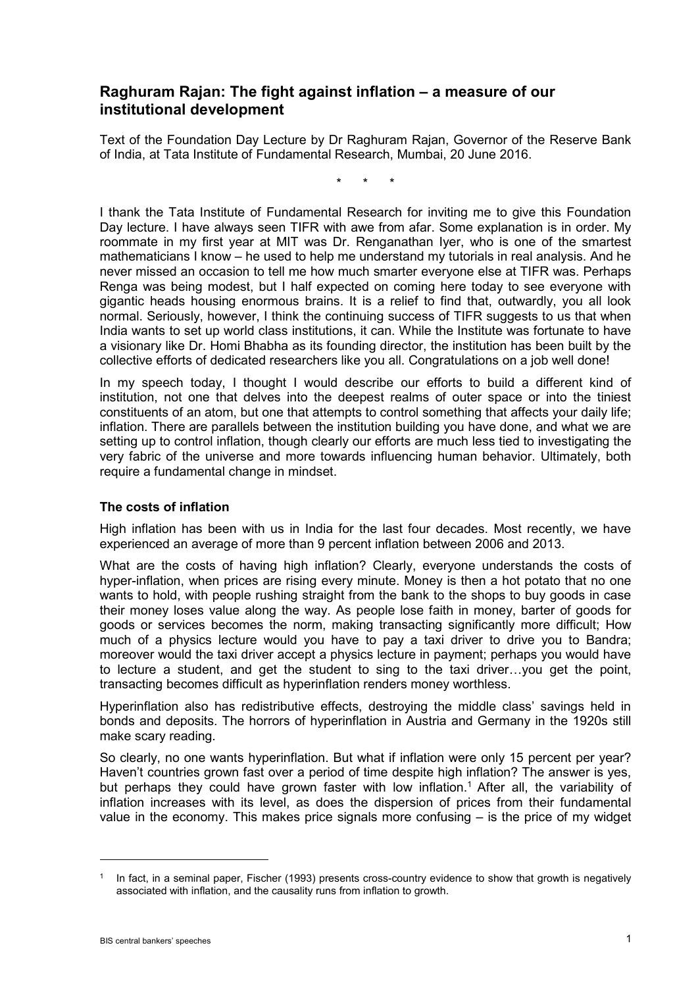# **Raghuram Rajan: The fight against inflation – a measure of our institutional development**

Text of the Foundation Day Lecture by Dr Raghuram Rajan, Governor of the Reserve Bank of India, at Tata Institute of Fundamental Research, Mumbai, 20 June 2016.

\* \* \*

I thank the Tata Institute of Fundamental Research for inviting me to give this Foundation Day lecture. I have always seen TIFR with awe from afar. Some explanation is in order. My roommate in my first year at MIT was Dr. Renganathan Iyer, who is one of the smartest mathematicians I know – he used to help me understand my tutorials in real analysis. And he never missed an occasion to tell me how much smarter everyone else at TIFR was. Perhaps Renga was being modest, but I half expected on coming here today to see everyone with gigantic heads housing enormous brains. It is a relief to find that, outwardly, you all look normal. Seriously, however, I think the continuing success of TIFR suggests to us that when India wants to set up world class institutions, it can. While the Institute was fortunate to have a visionary like Dr. Homi Bhabha as its founding director, the institution has been built by the collective efforts of dedicated researchers like you all. Congratulations on a job well done!

In my speech today, I thought I would describe our efforts to build a different kind of institution, not one that delves into the deepest realms of outer space or into the tiniest constituents of an atom, but one that attempts to control something that affects your daily life; inflation. There are parallels between the institution building you have done, and what we are setting up to control inflation, though clearly our efforts are much less tied to investigating the very fabric of the universe and more towards influencing human behavior. Ultimately, both require a fundamental change in mindset.

## **The costs of inflation**

High inflation has been with us in India for the last four decades. Most recently, we have experienced an average of more than 9 percent inflation between 2006 and 2013.

What are the costs of having high inflation? Clearly, everyone understands the costs of hyper-inflation, when prices are rising every minute. Money is then a hot potato that no one wants to hold, with people rushing straight from the bank to the shops to buy goods in case their money loses value along the way. As people lose faith in money, barter of goods for goods or services becomes the norm, making transacting significantly more difficult; How much of a physics lecture would you have to pay a taxi driver to drive you to Bandra; moreover would the taxi driver accept a physics lecture in payment; perhaps you would have to lecture a student, and get the student to sing to the taxi driver…you get the point, transacting becomes difficult as hyperinflation renders money worthless.

Hyperinflation also has redistributive effects, destroying the middle class' savings held in bonds and deposits. The horrors of hyperinflation in Austria and Germany in the 1920s still make scary reading.

So clearly, no one wants hyperinflation. But what if inflation were only 15 percent per year? Haven't countries grown fast over a period of time despite high inflation? The answer is yes, but perhaps they could have grown faster with low inflation.<sup>1</sup> After all, the variability of inflation increases with its level, as does the dispersion of prices from their fundamental value in the economy. This makes price signals more confusing – is the price of my widget

<sup>&</sup>lt;sup>1</sup> In fact, in a seminal paper, Fischer (1993) presents cross-country evidence to show that growth is negatively associated with inflation, and the causality runs from inflation to growth.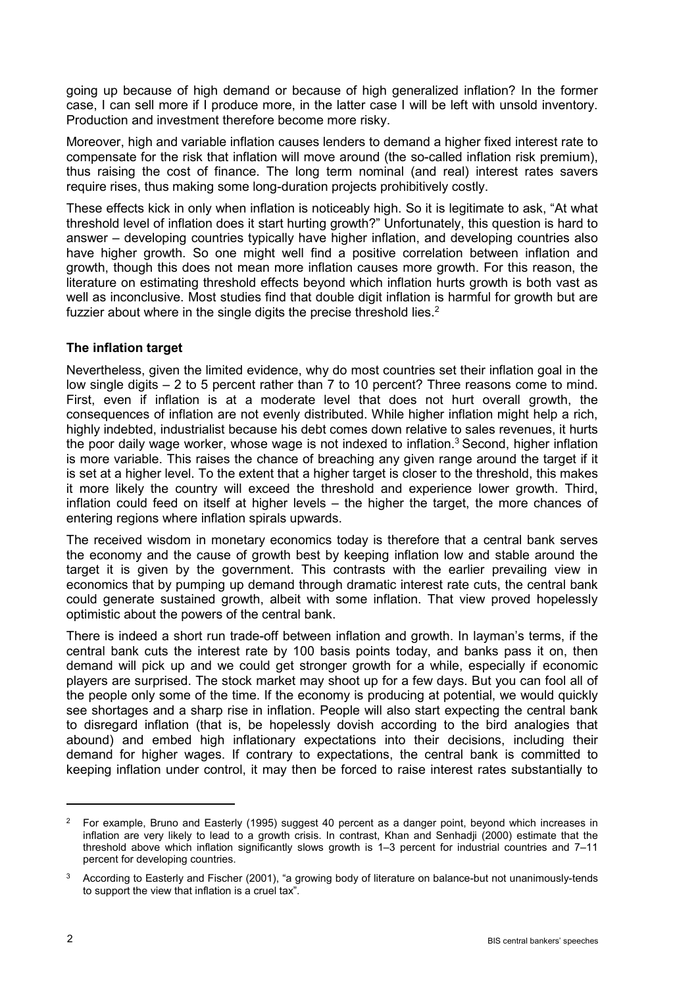going up because of high demand or because of high generalized inflation? In the former case, I can sell more if I produce more, in the latter case I will be left with unsold inventory. Production and investment therefore become more risky.

Moreover, high and variable inflation causes lenders to demand a higher fixed interest rate to compensate for the risk that inflation will move around (the so-called inflation risk premium), thus raising the cost of finance. The long term nominal (and real) interest rates savers require rises, thus making some long-duration projects prohibitively costly.

These effects kick in only when inflation is noticeably high. So it is legitimate to ask, "At what threshold level of inflation does it start hurting growth?" Unfortunately, this question is hard to answer – developing countries typically have higher inflation, and developing countries also have higher growth. So one might well find a positive correlation between inflation and growth, though this does not mean more inflation causes more growth. For this reason, the literature on estimating threshold effects beyond which inflation hurts growth is both vast as well as inconclusive. Most studies find that double digit inflation is harmful for growth but are fuzzier about where in the single digits the precise threshold lies.<sup>2</sup>

## **The inflation target**

Nevertheless, given the limited evidence, why do most countries set their inflation goal in the low single digits – 2 to 5 percent rather than 7 to 10 percent? Three reasons come to mind. First, even if inflation is at a moderate level that does not hurt overall growth, the consequences of inflation are not evenly distributed. While higher inflation might help a rich, highly indebted, industrialist because his debt comes down relative to sales revenues, it hurts the poor daily wage worker, whose wage is not indexed to inflation.<sup>3</sup> Second, higher inflation is more variable. This raises the chance of breaching any given range around the target if it is set at a higher level. To the extent that a higher target is closer to the threshold, this makes it more likely the country will exceed the threshold and experience lower growth. Third, inflation could feed on itself at higher levels – the higher the target, the more chances of entering regions where inflation spirals upwards.

The received wisdom in monetary economics today is therefore that a central bank serves the economy and the cause of growth best by keeping inflation low and stable around the target it is given by the government. This contrasts with the earlier prevailing view in economics that by pumping up demand through dramatic interest rate cuts, the central bank could generate sustained growth, albeit with some inflation. That view proved hopelessly optimistic about the powers of the central bank.

There is indeed a short run trade-off between inflation and growth. In layman's terms, if the central bank cuts the interest rate by 100 basis points today, and banks pass it on, then demand will pick up and we could get stronger growth for a while, especially if economic players are surprised. The stock market may shoot up for a few days. But you can fool all of the people only some of the time. If the economy is producing at potential, we would quickly see shortages and a sharp rise in inflation. People will also start expecting the central bank to disregard inflation (that is, be hopelessly dovish according to the bird analogies that abound) and embed high inflationary expectations into their decisions, including their demand for higher wages. If contrary to expectations, the central bank is committed to keeping inflation under control, it may then be forced to raise interest rates substantially to

<sup>&</sup>lt;sup>2</sup> For example, Bruno and Easterly (1995) suggest 40 percent as a danger point, beyond which increases in inflation are very likely to lead to a growth crisis. In contrast, Khan and Senhadji (2000) estimate that the threshold above which inflation significantly slows growth is 1–3 percent for industrial countries and 7–11 percent for developing countries.

<sup>&</sup>lt;sup>3</sup> According to Easterly and Fischer (2001), "a growing body of literature on balance-but not unanimously-tends to support the view that inflation is a cruel tax".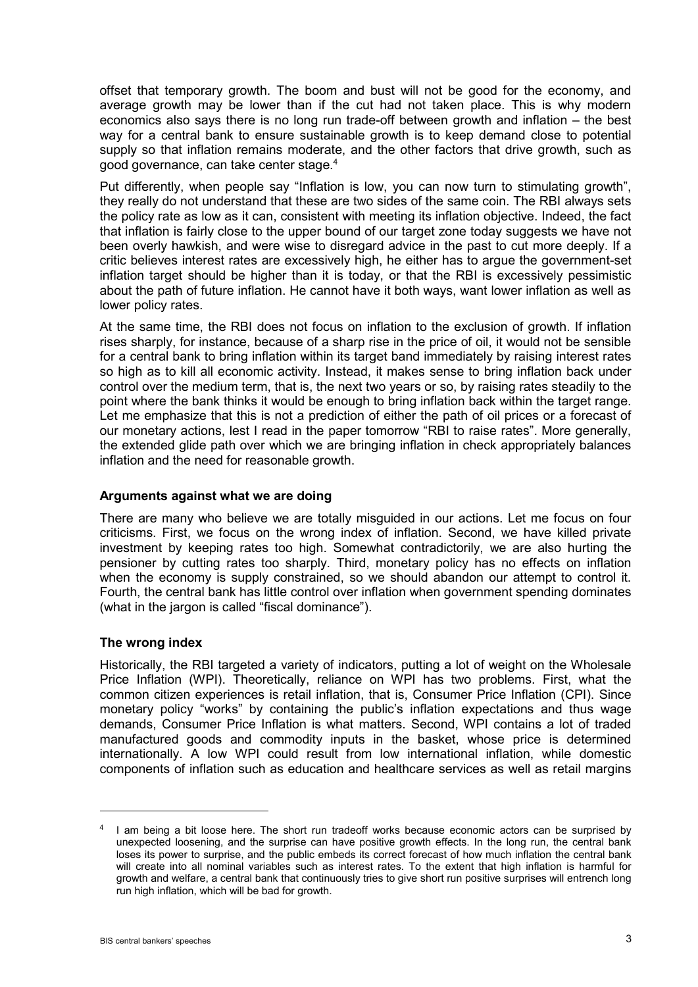offset that temporary growth. The boom and bust will not be good for the economy, and average growth may be lower than if the cut had not taken place. This is why modern economics also says there is no long run trade-off between growth and inflation – the best way for a central bank to ensure sustainable growth is to keep demand close to potential supply so that inflation remains moderate, and the other factors that drive growth, such as good governance, can take center stage.4

Put differently, when people say "Inflation is low, you can now turn to stimulating growth", they really do not understand that these are two sides of the same coin. The RBI always sets the policy rate as low as it can, consistent with meeting its inflation objective. Indeed, the fact that inflation is fairly close to the upper bound of our target zone today suggests we have not been overly hawkish, and were wise to disregard advice in the past to cut more deeply. If a critic believes interest rates are excessively high, he either has to argue the government-set inflation target should be higher than it is today, or that the RBI is excessively pessimistic about the path of future inflation. He cannot have it both ways, want lower inflation as well as lower policy rates.

At the same time, the RBI does not focus on inflation to the exclusion of growth. If inflation rises sharply, for instance, because of a sharp rise in the price of oil, it would not be sensible for a central bank to bring inflation within its target band immediately by raising interest rates so high as to kill all economic activity. Instead, it makes sense to bring inflation back under control over the medium term, that is, the next two years or so, by raising rates steadily to the point where the bank thinks it would be enough to bring inflation back within the target range. Let me emphasize that this is not a prediction of either the path of oil prices or a forecast of our monetary actions, lest I read in the paper tomorrow "RBI to raise rates". More generally, the extended glide path over which we are bringing inflation in check appropriately balances inflation and the need for reasonable growth.

#### **Arguments against what we are doing**

There are many who believe we are totally misguided in our actions. Let me focus on four criticisms. First, we focus on the wrong index of inflation. Second, we have killed private investment by keeping rates too high. Somewhat contradictorily, we are also hurting the pensioner by cutting rates too sharply. Third, monetary policy has no effects on inflation when the economy is supply constrained, so we should abandon our attempt to control it. Fourth, the central bank has little control over inflation when government spending dominates (what in the jargon is called "fiscal dominance").

## **The wrong index**

Historically, the RBI targeted a variety of indicators, putting a lot of weight on the Wholesale Price Inflation (WPI). Theoretically, reliance on WPI has two problems. First, what the common citizen experiences is retail inflation, that is, Consumer Price Inflation (CPI). Since monetary policy "works" by containing the public's inflation expectations and thus wage demands, Consumer Price Inflation is what matters. Second, WPI contains a lot of traded manufactured goods and commodity inputs in the basket, whose price is determined internationally. A low WPI could result from low international inflation, while domestic components of inflation such as education and healthcare services as well as retail margins

<sup>4</sup> I am being a bit loose here. The short run tradeoff works because economic actors can be surprised by unexpected loosening, and the surprise can have positive growth effects. In the long run, the central bank loses its power to surprise, and the public embeds its correct forecast of how much inflation the central bank will create into all nominal variables such as interest rates. To the extent that high inflation is harmful for growth and welfare, a central bank that continuously tries to give short run positive surprises will entrench long run high inflation, which will be bad for growth.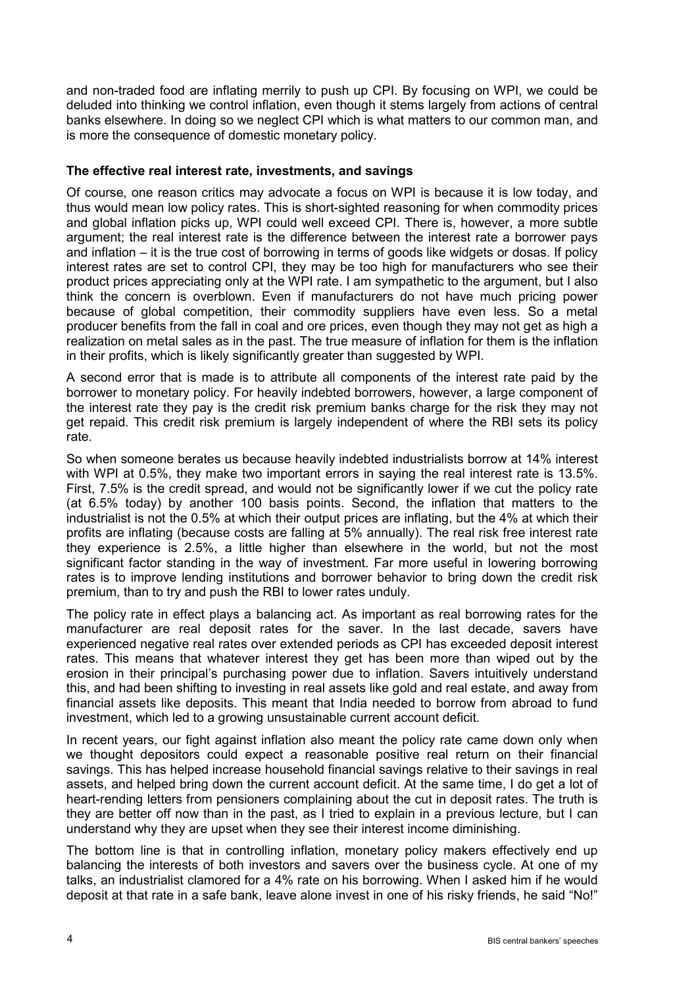and non-traded food are inflating merrily to push up CPI. By focusing on WPI, we could be deluded into thinking we control inflation, even though it stems largely from actions of central banks elsewhere. In doing so we neglect CPI which is what matters to our common man, and is more the consequence of domestic monetary policy.

#### **The effective real interest rate, investments, and savings**

Of course, one reason critics may advocate a focus on WPI is because it is low today, and thus would mean low policy rates. This is short-sighted reasoning for when commodity prices and global inflation picks up, WPI could well exceed CPI. There is, however, a more subtle argument; the real interest rate is the difference between the interest rate a borrower pays and inflation – it is the true cost of borrowing in terms of goods like widgets or dosas. If policy interest rates are set to control CPI, they may be too high for manufacturers who see their product prices appreciating only at the WPI rate. I am sympathetic to the argument, but I also think the concern is overblown. Even if manufacturers do not have much pricing power because of global competition, their commodity suppliers have even less. So a metal producer benefits from the fall in coal and ore prices, even though they may not get as high a realization on metal sales as in the past. The true measure of inflation for them is the inflation in their profits, which is likely significantly greater than suggested by WPI.

A second error that is made is to attribute all components of the interest rate paid by the borrower to monetary policy. For heavily indebted borrowers, however, a large component of the interest rate they pay is the credit risk premium banks charge for the risk they may not get repaid. This credit risk premium is largely independent of where the RBI sets its policy rate.

So when someone berates us because heavily indebted industrialists borrow at 14% interest with WPI at 0.5%, they make two important errors in saying the real interest rate is 13.5%. First, 7.5% is the credit spread, and would not be significantly lower if we cut the policy rate (at 6.5% today) by another 100 basis points. Second, the inflation that matters to the industrialist is not the 0.5% at which their output prices are inflating, but the 4% at which their profits are inflating (because costs are falling at 5% annually). The real risk free interest rate they experience is 2.5%, a little higher than elsewhere in the world, but not the most significant factor standing in the way of investment. Far more useful in lowering borrowing rates is to improve lending institutions and borrower behavior to bring down the credit risk premium, than to try and push the RBI to lower rates unduly.

The policy rate in effect plays a balancing act. As important as real borrowing rates for the manufacturer are real deposit rates for the saver. In the last decade, savers have experienced negative real rates over extended periods as CPI has exceeded deposit interest rates. This means that whatever interest they get has been more than wiped out by the erosion in their principal's purchasing power due to inflation. Savers intuitively understand this, and had been shifting to investing in real assets like gold and real estate, and away from financial assets like deposits. This meant that India needed to borrow from abroad to fund investment, which led to a growing unsustainable current account deficit.

In recent years, our fight against inflation also meant the policy rate came down only when we thought depositors could expect a reasonable positive real return on their financial savings. This has helped increase household financial savings relative to their savings in real assets, and helped bring down the current account deficit. At the same time, I do get a lot of heart-rending letters from pensioners complaining about the cut in deposit rates. The truth is they are better off now than in the past, as I tried to explain in a previous lecture, but I can understand why they are upset when they see their interest income diminishing.

The bottom line is that in controlling inflation, monetary policy makers effectively end up balancing the interests of both investors and savers over the business cycle. At one of my talks, an industrialist clamored for a 4% rate on his borrowing. When I asked him if he would deposit at that rate in a safe bank, leave alone invest in one of his risky friends, he said "No!"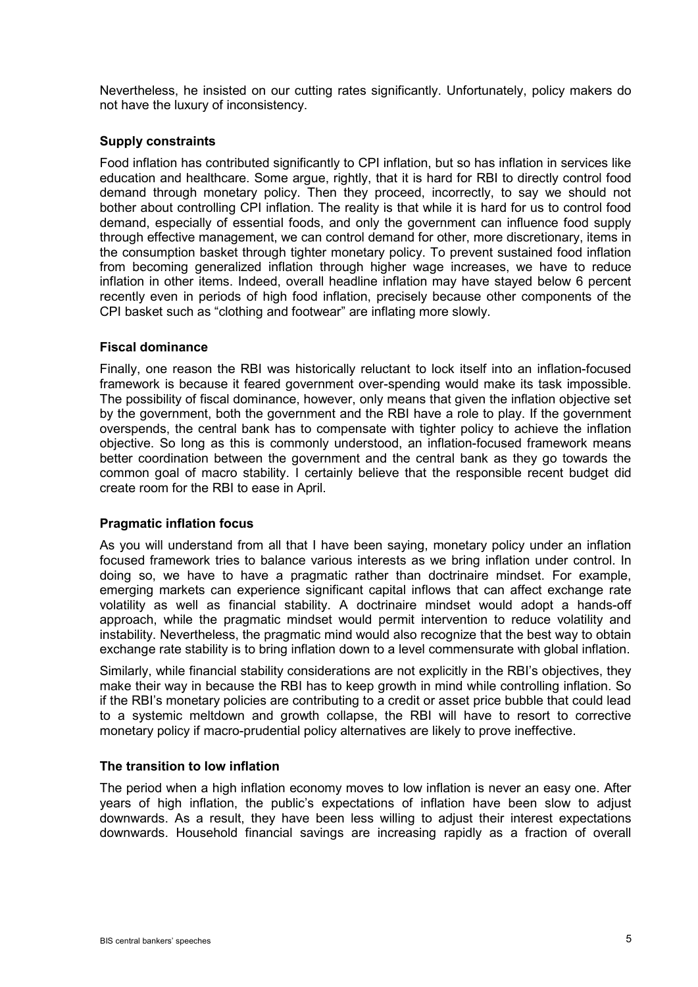Nevertheless, he insisted on our cutting rates significantly. Unfortunately, policy makers do not have the luxury of inconsistency.

## **Supply constraints**

Food inflation has contributed significantly to CPI inflation, but so has inflation in services like education and healthcare. Some argue, rightly, that it is hard for RBI to directly control food demand through monetary policy. Then they proceed, incorrectly, to say we should not bother about controlling CPI inflation. The reality is that while it is hard for us to control food demand, especially of essential foods, and only the government can influence food supply through effective management, we can control demand for other, more discretionary, items in the consumption basket through tighter monetary policy. To prevent sustained food inflation from becoming generalized inflation through higher wage increases, we have to reduce inflation in other items. Indeed, overall headline inflation may have stayed below 6 percent recently even in periods of high food inflation, precisely because other components of the CPI basket such as "clothing and footwear" are inflating more slowly.

# **Fiscal dominance**

Finally, one reason the RBI was historically reluctant to lock itself into an inflation-focused framework is because it feared government over-spending would make its task impossible. The possibility of fiscal dominance, however, only means that given the inflation objective set by the government, both the government and the RBI have a role to play. If the government overspends, the central bank has to compensate with tighter policy to achieve the inflation objective. So long as this is commonly understood, an inflation-focused framework means better coordination between the government and the central bank as they go towards the common goal of macro stability. I certainly believe that the responsible recent budget did create room for the RBI to ease in April.

## **Pragmatic inflation focus**

As you will understand from all that I have been saying, monetary policy under an inflation focused framework tries to balance various interests as we bring inflation under control. In doing so, we have to have a pragmatic rather than doctrinaire mindset. For example, emerging markets can experience significant capital inflows that can affect exchange rate volatility as well as financial stability. A doctrinaire mindset would adopt a hands-off approach, while the pragmatic mindset would permit intervention to reduce volatility and instability. Nevertheless, the pragmatic mind would also recognize that the best way to obtain exchange rate stability is to bring inflation down to a level commensurate with global inflation.

Similarly, while financial stability considerations are not explicitly in the RBI's objectives, they make their way in because the RBI has to keep growth in mind while controlling inflation. So if the RBI's monetary policies are contributing to a credit or asset price bubble that could lead to a systemic meltdown and growth collapse, the RBI will have to resort to corrective monetary policy if macro-prudential policy alternatives are likely to prove ineffective.

# **The transition to low inflation**

The period when a high inflation economy moves to low inflation is never an easy one. After years of high inflation, the public's expectations of inflation have been slow to adjust downwards. As a result, they have been less willing to adjust their interest expectations downwards. Household financial savings are increasing rapidly as a fraction of overall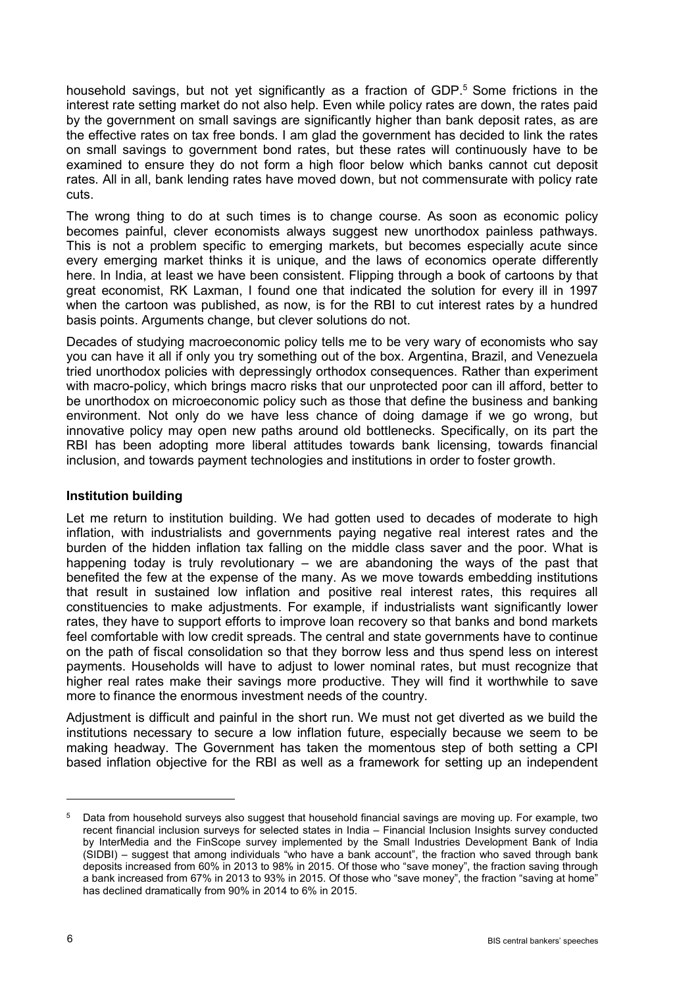household savings, but not yet significantly as a fraction of GDP.<sup>5</sup> Some frictions in the interest rate setting market do not also help. Even while policy rates are down, the rates paid by the government on small savings are significantly higher than bank deposit rates, as are the effective rates on tax free bonds. I am glad the government has decided to link the rates on small savings to government bond rates, but these rates will continuously have to be examined to ensure they do not form a high floor below which banks cannot cut deposit rates. All in all, bank lending rates have moved down, but not commensurate with policy rate cuts.

The wrong thing to do at such times is to change course. As soon as economic policy becomes painful, clever economists always suggest new unorthodox painless pathways. This is not a problem specific to emerging markets, but becomes especially acute since every emerging market thinks it is unique, and the laws of economics operate differently here. In India, at least we have been consistent. Flipping through a book of cartoons by that great economist, RK Laxman, I found one that indicated the solution for every ill in 1997 when the cartoon was published, as now, is for the RBI to cut interest rates by a hundred basis points. Arguments change, but clever solutions do not.

Decades of studying macroeconomic policy tells me to be very wary of economists who say you can have it all if only you try something out of the box. Argentina, Brazil, and Venezuela tried unorthodox policies with depressingly orthodox consequences. Rather than experiment with macro-policy, which brings macro risks that our unprotected poor can ill afford, better to be unorthodox on microeconomic policy such as those that define the business and banking environment. Not only do we have less chance of doing damage if we go wrong, but innovative policy may open new paths around old bottlenecks. Specifically, on its part the RBI has been adopting more liberal attitudes towards bank licensing, towards financial inclusion, and towards payment technologies and institutions in order to foster growth.

#### **Institution building**

Let me return to institution building. We had gotten used to decades of moderate to high inflation, with industrialists and governments paying negative real interest rates and the burden of the hidden inflation tax falling on the middle class saver and the poor. What is happening today is truly revolutionary – we are abandoning the ways of the past that benefited the few at the expense of the many. As we move towards embedding institutions that result in sustained low inflation and positive real interest rates, this requires all constituencies to make adjustments. For example, if industrialists want significantly lower rates, they have to support efforts to improve loan recovery so that banks and bond markets feel comfortable with low credit spreads. The central and state governments have to continue on the path of fiscal consolidation so that they borrow less and thus spend less on interest payments. Households will have to adjust to lower nominal rates, but must recognize that higher real rates make their savings more productive. They will find it worthwhile to save more to finance the enormous investment needs of the country.

Adjustment is difficult and painful in the short run. We must not get diverted as we build the institutions necessary to secure a low inflation future, especially because we seem to be making headway. The Government has taken the momentous step of both setting a CPI based inflation objective for the RBI as well as a framework for setting up an independent

<sup>5</sup> Data from household surveys also suggest that household financial savings are moving up. For example, two recent financial inclusion surveys for selected states in India – Financial Inclusion Insights survey conducted by InterMedia and the FinScope survey implemented by the Small Industries Development Bank of India (SIDBI) – suggest that among individuals "who have a bank account", the fraction who saved through bank deposits increased from 60% in 2013 to 98% in 2015. Of those who "save money", the fraction saving through a bank increased from 67% in 2013 to 93% in 2015. Of those who "save money", the fraction "saving at home" has declined dramatically from 90% in 2014 to 6% in 2015.